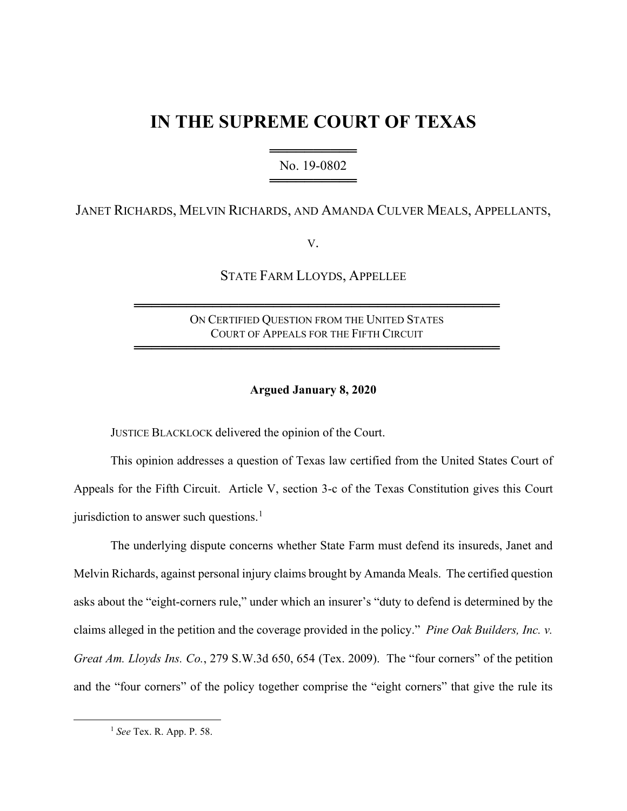# **IN THE SUPREME COURT OF TEXAS**

════════════════════════ No. 19-0802 ══════════════

# JANET RICHARDS, MELVIN RICHARDS, AND AMANDA CULVER MEALS, APPELLANTS,

V.

STATE FARM LLOYDS, APPELLEE

## ON CERTIFIED QUESTION FROM THE UNITED STATES COURT OF APPEALS FOR THE FIFTH CIRCUIT

══════════════════════════════════════════

══════════════════════════════════════════

## **Argued January 8, 2020**

JUSTICE BLACKLOCK delivered the opinion of the Court.

This opinion addresses a question of Texas law certified from the United States Court of Appeals for the Fifth Circuit. Article V, section 3-c of the Texas Constitution gives this Court jurisdiction to answer such questions.<sup>1</sup>

The underlying dispute concerns whether State Farm must defend its insureds, Janet and Melvin Richards, against personal injury claims brought by Amanda Meals. The certified question asks about the "eight-corners rule," under which an insurer's "duty to defend is determined by the claims alleged in the petition and the coverage provided in the policy." *Pine Oak Builders, Inc. v. Great Am. Lloyds Ins. Co.*, 279 S.W.3d 650, 654 (Tex. 2009). The "four corners" of the petition and the "four corners" of the policy together comprise the "eight corners" that give the rule its

<sup>1</sup> *See* Tex. R. App. P. 58.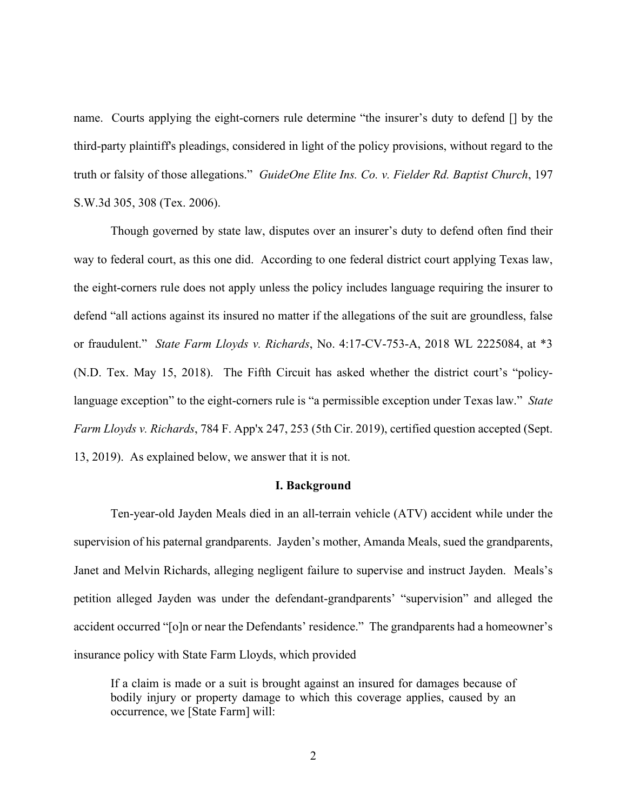name. Courts applying the eight-corners rule determine "the insurer's duty to defend [] by the third-party plaintiff's pleadings, considered in light of the policy provisions, without regard to the truth or falsity of those allegations." *GuideOne Elite Ins. Co. v. Fielder Rd. Baptist Church*, 197 S.W.3d 305, 308 (Tex. 2006).

Though governed by state law, disputes over an insurer's duty to defend often find their way to federal court, as this one did. According to one federal district court applying Texas law, the eight-corners rule does not apply unless the policy includes language requiring the insurer to defend "all actions against its insured no matter if the allegations of the suit are groundless, false or fraudulent." *State Farm Lloyds v. Richards*, No. 4:17-CV-753-A, 2018 WL 2225084, at \*3 (N.D. Tex. May 15, 2018). The Fifth Circuit has asked whether the district court's "policylanguage exception" to the eight-corners rule is "a permissible exception under Texas law." *State Farm Lloyds v. Richards*, 784 F. App'x 247, 253 (5th Cir. 2019), certified question accepted (Sept. 13, 2019). As explained below, we answer that it is not.

#### **I. Background**

Ten-year-old Jayden Meals died in an all-terrain vehicle (ATV) accident while under the supervision of his paternal grandparents. Jayden's mother, Amanda Meals, sued the grandparents, Janet and Melvin Richards, alleging negligent failure to supervise and instruct Jayden. Meals's petition alleged Jayden was under the defendant-grandparents' "supervision" and alleged the accident occurred "[o]n or near the Defendants' residence." The grandparents had a homeowner's insurance policy with State Farm Lloyds, which provided

If a claim is made or a suit is brought against an insured for damages because of bodily injury or property damage to which this coverage applies, caused by an occurrence, we [State Farm] will: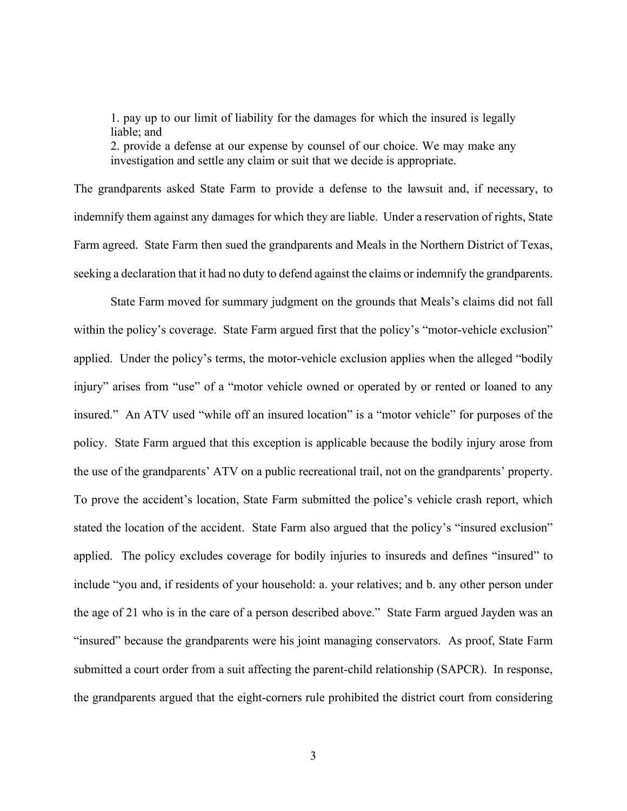1. pay up to our limit of liability for the damages for which the insured is legally liable; and

2. provide a defense at our expense by counsel of our choice. We may make any investigation and settle any claim or suit that we decide is appropriate.

The grandparents asked State Farm to provide a defense to the lawsuit and, if necessary, to indemnify them against any damages for which they are liable. Under a reservation of rights, State Farm agreed. State Farm then sued the grandparents and Meals in the Northern District of Texas, seeking a declaration that it had no duty to defend against the claims or indemnify the grandparents.

State Farm moved for summary judgment on the grounds that Meals's claims did not fall within the policy's coverage. State Farm argued first that the policy's "motor-vehicle exclusion" applied. Under the policy's terms, the motor-vehicle exclusion applies when the alleged "bodily injury" arises from "use" of a "motor vehicle owned or operated by or rented or loaned to any insured." An ATV used "while off an insured location" is a "motor vehicle" for purposes of the policy. State Farm argued that this exception is applicable because the bodily injury arose from the use of the grandparents' ATV on a public recreational trail, not on the grandparents' property. To prove the accident's location, State Farm submitted the police's vehicle crash report, which stated the location of the accident. State Farm also argued that the policy's "insured exclusion" applied. The policy excludes coverage for bodily injuries to insureds and defines "insured" to include "you and, if residents of your household: a. your relatives; and b. any other person under the age of 21 who is in the care of a person described above." State Farm argued Jayden was an "insured" because the grandparents were his joint managing conservators. As proof, State Farm submitted a court order from a suit affecting the parent-child relationship (SAPCR). In response, the grandparents argued that the eight-corners rule prohibited the district court from considering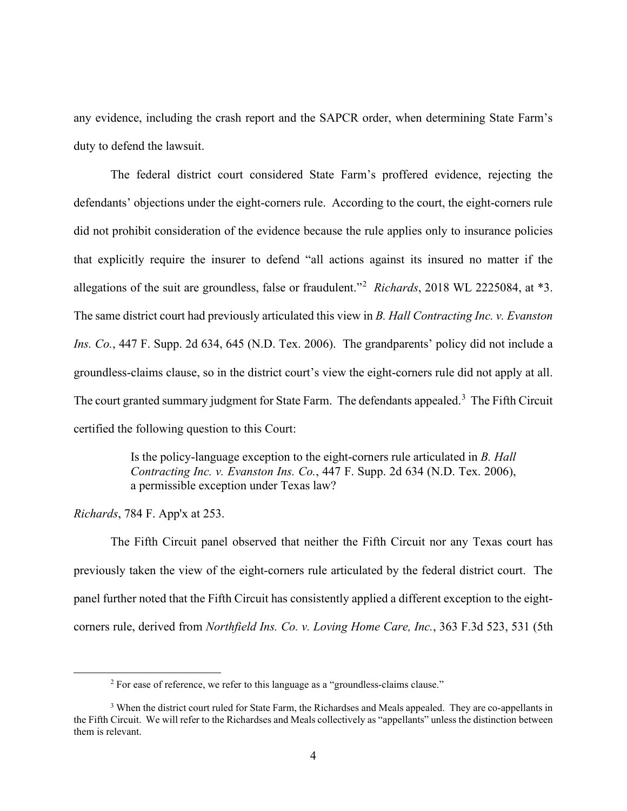any evidence, including the crash report and the SAPCR order, when determining State Farm's duty to defend the lawsuit.

The federal district court considered State Farm's proffered evidence, rejecting the defendants' objections under the eight-corners rule. According to the court, the eight-corners rule did not prohibit consideration of the evidence because the rule applies only to insurance policies that explicitly require the insurer to defend "all actions against its insured no matter if the allegations of the suit are groundless, false or fraudulent."<sup>2</sup> *Richards*, 2018 WL 2225084, at \*3. The same district court had previously articulated this view in *B. Hall Contracting Inc. v. Evanston Ins. Co.*, 447 F. Supp. 2d 634, 645 (N.D. Tex. 2006). The grandparents' policy did not include a groundless-claims clause, so in the district court's view the eight-corners rule did not apply at all. The court granted summary judgment for State Farm. The defendants appealed.<sup>3</sup> The Fifth Circuit certified the following question to this Court:

> Is the policy-language exception to the eight-corners rule articulated in *B. Hall Contracting Inc. v. Evanston Ins. Co.*, 447 F. Supp. 2d 634 (N.D. Tex. 2006), a permissible exception under Texas law?

*Richards*, 784 F. App'x at 253.

The Fifth Circuit panel observed that neither the Fifth Circuit nor any Texas court has previously taken the view of the eight-corners rule articulated by the federal district court. The panel further noted that the Fifth Circuit has consistently applied a different exception to the eightcorners rule, derived from *Northfield Ins. Co. v. Loving Home Care, Inc.*, 363 F.3d 523, 531 (5th

<sup>&</sup>lt;sup>2</sup> For ease of reference, we refer to this language as a "groundless-claims clause."

<sup>&</sup>lt;sup>3</sup> When the district court ruled for State Farm, the Richardses and Meals appealed. They are co-appellants in the Fifth Circuit. We will refer to the Richardses and Meals collectively as "appellants" unless the distinction between them is relevant.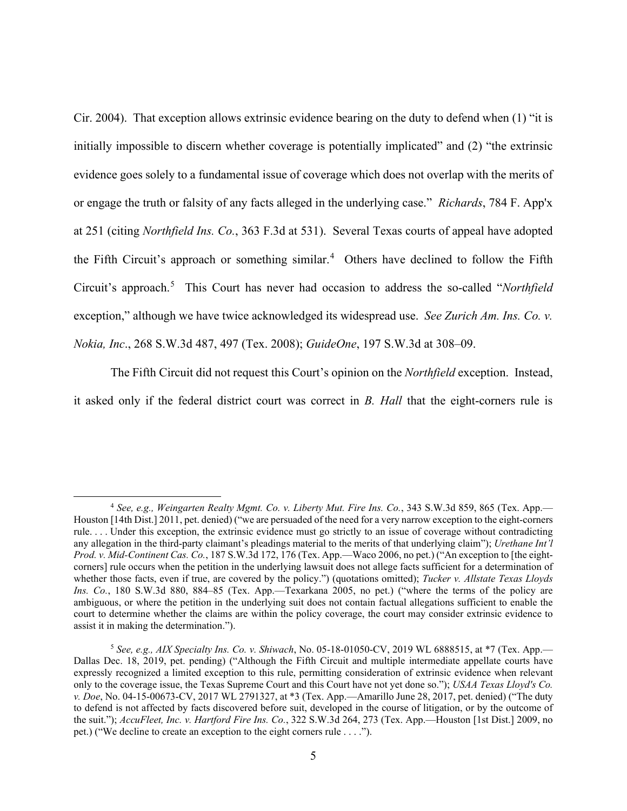Cir. 2004). That exception allows extrinsic evidence bearing on the duty to defend when (1) "it is initially impossible to discern whether coverage is potentially implicated" and (2) "the extrinsic evidence goes solely to a fundamental issue of coverage which does not overlap with the merits of or engage the truth or falsity of any facts alleged in the underlying case." *Richards*, 784 F. App'x at 251 (citing *Northfield Ins. Co.*, 363 F.3d at 531). Several Texas courts of appeal have adopted the Fifth Circuit's approach or something similar.<sup>4</sup> Others have declined to follow the Fifth Circuit's approach.<sup>5</sup> This Court has never had occasion to address the so-called "*Northfield* exception," although we have twice acknowledged its widespread use. *See Zurich Am. Ins. Co. v. Nokia, Inc*., 268 S.W.3d 487, 497 (Tex. 2008); *GuideOne*, 197 S.W.3d at 308–09.

The Fifth Circuit did not request this Court's opinion on the *Northfield* exception. Instead, it asked only if the federal district court was correct in *B. Hall* that the eight-corners rule is

<sup>4</sup> *See, e.g., Weingarten Realty Mgmt. Co. v. Liberty Mut. Fire Ins. Co.*, 343 S.W.3d 859, 865 (Tex. App.— Houston [14th Dist.] 2011, pet. denied) ("we are persuaded of the need for a very narrow exception to the eight-corners rule. . . . Under this exception, the extrinsic evidence must go strictly to an issue of coverage without contradicting any allegation in the third-party claimant's pleadings material to the merits of that underlying claim"); *Urethane Int'l Prod. v. Mid-Continent Cas. Co.*, 187 S.W.3d 172, 176 (Tex. App.—Waco 2006, no pet.) ("An exception to [the eightcorners] rule occurs when the petition in the underlying lawsuit does not allege facts sufficient for a determination of whether those facts, even if true, are covered by the policy.") (quotations omitted); *Tucker v. Allstate Texas Lloyds Ins. Co.*, 180 S.W.3d 880, 884–85 (Tex. App.—Texarkana 2005, no pet.) ("where the terms of the policy are ambiguous, or where the petition in the underlying suit does not contain factual allegations sufficient to enable the court to determine whether the claims are within the policy coverage, the court may consider extrinsic evidence to assist it in making the determination.").

<sup>5</sup> *See, e.g., AIX Specialty Ins. Co. v. Shiwach*, No. 05-18-01050-CV, 2019 WL 6888515, at \*7 (Tex. App.— Dallas Dec. 18, 2019, pet. pending) ("Although the Fifth Circuit and multiple intermediate appellate courts have expressly recognized a limited exception to this rule, permitting consideration of extrinsic evidence when relevant only to the coverage issue, the Texas Supreme Court and this Court have not yet done so."); *USAA Texas Lloyd's Co. v. Doe*, No. 04-15-00673-CV, 2017 WL 2791327, at \*3 (Tex. App.—Amarillo June 28, 2017, pet. denied) ("The duty to defend is not affected by facts discovered before suit, developed in the course of litigation, or by the outcome of the suit."); *AccuFleet, Inc. v. Hartford Fire Ins. Co.*, 322 S.W.3d 264, 273 (Tex. App.—Houston [1st Dist.] 2009, no pet.) ("We decline to create an exception to the eight corners rule . . . .").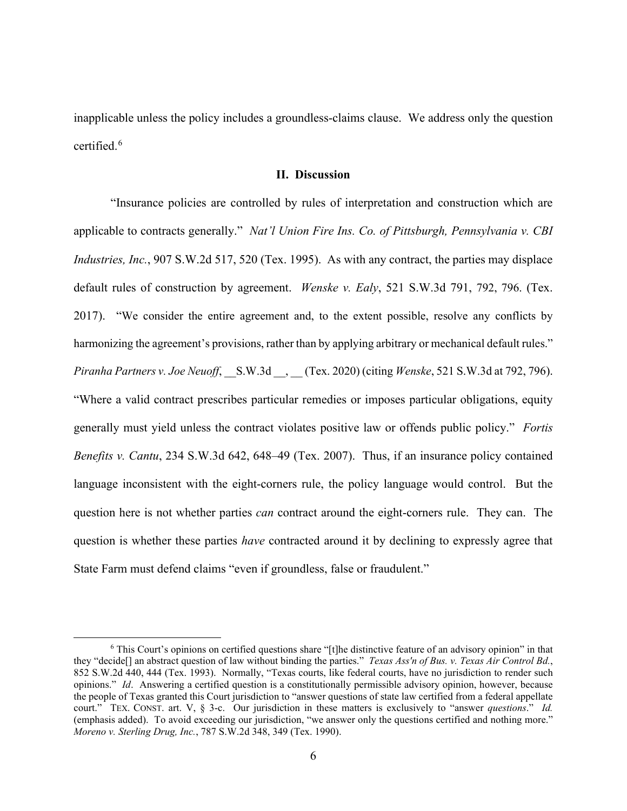inapplicable unless the policy includes a groundless-claims clause. We address only the question certified.<sup>6</sup>

### **II. Discussion**

"Insurance policies are controlled by rules of interpretation and construction which are applicable to contracts generally." *Nat'l Union Fire Ins. Co. of Pittsburgh, Pennsylvania v. CBI Industries, Inc.*, 907 S.W.2d 517, 520 (Tex. 1995). As with any contract, the parties may displace default rules of construction by agreement. *Wenske v. Ealy*, 521 S.W.3d 791, 792, 796. (Tex. 2017). "We consider the entire agreement and, to the extent possible, resolve any conflicts by harmonizing the agreement's provisions, rather than by applying arbitrary or mechanical default rules." *Piranha Partners v. Joe Neuoff*, \_\_S.W.3d \_\_, \_\_ (Tex. 2020) (citing *Wenske*, 521 S.W.3d at 792, 796). "Where a valid contract prescribes particular remedies or imposes particular obligations, equity generally must yield unless the contract violates positive law or offends public policy." *Fortis Benefits v. Cantu*, 234 S.W.3d 642, 648–49 (Tex. 2007). Thus, if an insurance policy contained language inconsistent with the eight-corners rule, the policy language would control. But the question here is not whether parties *can* contract around the eight-corners rule. They can. The question is whether these parties *have* contracted around it by declining to expressly agree that State Farm must defend claims "even if groundless, false or fraudulent."

<sup>&</sup>lt;sup>6</sup> This Court's opinions on certified questions share "[t]he distinctive feature of an advisory opinion" in that they "decide[] an abstract question of law without binding the parties." *Texas Ass'n of Bus. v. Texas Air Control Bd.*, 852 S.W.2d 440, 444 (Tex. 1993). Normally, "Texas courts, like federal courts, have no jurisdiction to render such opinions." *Id*. Answering a certified question is a constitutionally permissible advisory opinion, however, because the people of Texas granted this Court jurisdiction to "answer questions of state law certified from a federal appellate court." TEX. CONST. art. V, § 3-c. Our jurisdiction in these matters is exclusively to "answer *questions*." *Id.* (emphasis added). To avoid exceeding our jurisdiction, "we answer only the questions certified and nothing more." *Moreno v. Sterling Drug, Inc.*, 787 S.W.2d 348, 349 (Tex. 1990).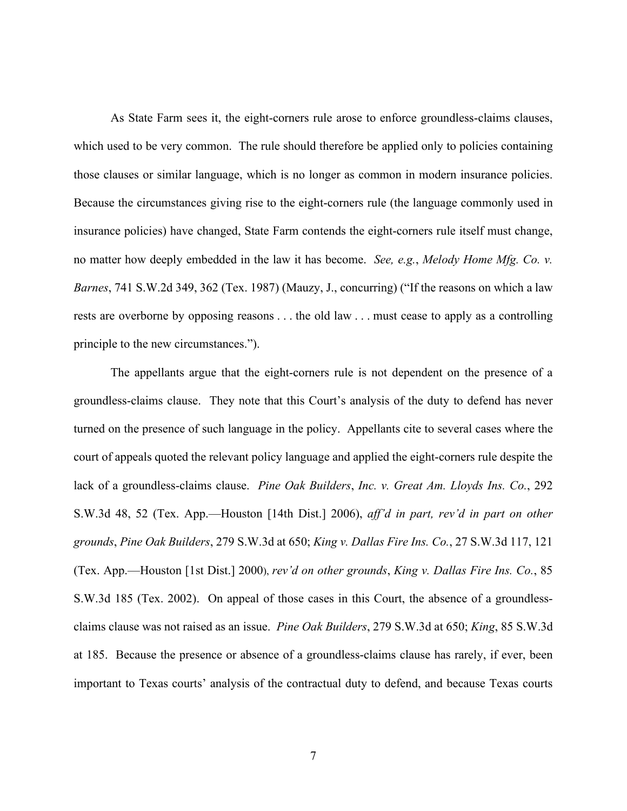As State Farm sees it, the eight-corners rule arose to enforce groundless-claims clauses, which used to be very common. The rule should therefore be applied only to policies containing those clauses or similar language, which is no longer as common in modern insurance policies. Because the circumstances giving rise to the eight-corners rule (the language commonly used in insurance policies) have changed, State Farm contends the eight-corners rule itself must change, no matter how deeply embedded in the law it has become. *See, e.g.*, *Melody Home Mfg. Co. v. Barnes*, 741 S.W.2d 349, 362 (Tex. 1987) (Mauzy, J., concurring) ("If the reasons on which a law rests are overborne by opposing reasons . . . the old law . . . must cease to apply as a controlling principle to the new circumstances.").

The appellants argue that the eight-corners rule is not dependent on the presence of a groundless-claims clause. They note that this Court's analysis of the duty to defend has never turned on the presence of such language in the policy. Appellants cite to several cases where the court of appeals quoted the relevant policy language and applied the eight-corners rule despite the lack of a groundless-claims clause. *Pine Oak Builders*, *Inc. v. Great Am. Lloyds Ins. Co.*, 292 S.W.3d 48, 52 (Tex. App.—Houston [14th Dist.] 2006), *aff'd in part, rev'd in part on other grounds*, *Pine Oak Builders*, 279 S.W.3d at 650; *King v. Dallas Fire Ins. Co.*, 27 S.W.3d 117, 121 (Tex. App.—Houston [1st Dist.] 2000), *rev'd on other grounds*, *King v. Dallas Fire Ins. Co.*, 85 S.W.3d 185 (Tex. 2002). On appeal of those cases in this Court, the absence of a groundlessclaims clause was not raised as an issue. *Pine Oak Builders*, 279 S.W.3d at 650; *King*, 85 S.W.3d at 185. Because the presence or absence of a groundless-claims clause has rarely, if ever, been important to Texas courts' analysis of the contractual duty to defend, and because Texas courts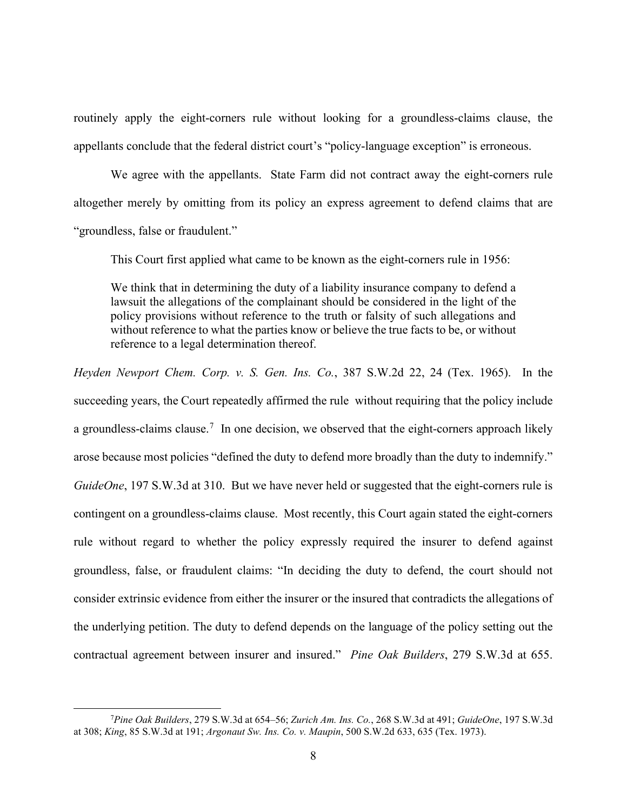routinely apply the eight-corners rule without looking for a groundless-claims clause, the appellants conclude that the federal district court's "policy-language exception" is erroneous.

We agree with the appellants. State Farm did not contract away the eight-corners rule altogether merely by omitting from its policy an express agreement to defend claims that are "groundless, false or fraudulent."

This Court first applied what came to be known as the eight-corners rule in 1956:

We think that in determining the duty of a liability insurance company to defend a lawsuit the allegations of the complainant should be considered in the light of the policy provisions without reference to the truth or falsity of such allegations and without reference to what the parties know or believe the true facts to be, or without reference to a legal determination thereof.

*Heyden Newport Chem. Corp. v. S. Gen. Ins. Co.*, 387 S.W.2d 22, 24 (Tex. 1965). In the succeeding years, the Court repeatedly affirmed the rule without requiring that the policy include a groundless-claims clause.<sup>7</sup> In one decision, we observed that the eight-corners approach likely arose because most policies "defined the duty to defend more broadly than the duty to indemnify." *GuideOne*, 197 S.W.3d at 310. But we have never held or suggested that the eight-corners rule is contingent on a groundless-claims clause. Most recently, this Court again stated the eight-corners rule without regard to whether the policy expressly required the insurer to defend against groundless, false, or fraudulent claims: "In deciding the duty to defend, the court should not consider extrinsic evidence from either the insurer or the insured that contradicts the allegations of the underlying petition. The duty to defend depends on the language of the policy setting out the contractual agreement between insurer and insured." *Pine Oak Builders*, 279 S.W.3d at 655.

<sup>7</sup> *Pine Oak Builders*, 279 S.W.3d at 654–56; *Zurich Am. Ins. Co.*, 268 S.W.3d at 491; *GuideOne*, 197 S.W.3d at 308; *King*, 85 S.W.3d at 191; *Argonaut Sw. Ins. Co. v. Maupin*, 500 S.W.2d 633, 635 (Tex. 1973).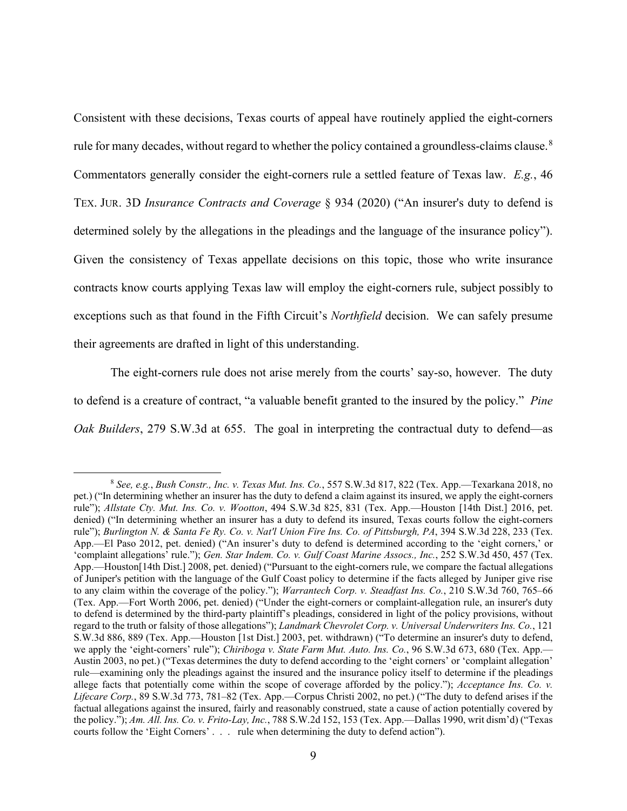Consistent with these decisions, Texas courts of appeal have routinely applied the eight-corners rule for many decades, without regard to whether the policy contained a groundless-claims clause.  $8$ Commentators generally consider the eight-corners rule a settled feature of Texas law. *E.g.*, 46 TEX. JUR. 3D *Insurance Contracts and Coverage* § 934 (2020) ("An insurer's duty to defend is determined solely by the allegations in the pleadings and the language of the insurance policy"). Given the consistency of Texas appellate decisions on this topic, those who write insurance contracts know courts applying Texas law will employ the eight-corners rule, subject possibly to exceptions such as that found in the Fifth Circuit's *Northfield* decision. We can safely presume their agreements are drafted in light of this understanding.

The eight-corners rule does not arise merely from the courts' say-so, however. The duty to defend is a creature of contract, "a valuable benefit granted to the insured by the policy." *Pine Oak Builders*, 279 S.W.3d at 655. The goal in interpreting the contractual duty to defend—as

<sup>8</sup> *See, e.g.*, *Bush Constr., Inc. v. Texas Mut. Ins. Co.*, 557 S.W.3d 817, 822 (Tex. App.—Texarkana 2018, no pet.) ("In determining whether an insurer has the duty to defend a claim against its insured, we apply the eight-corners rule"); *Allstate Cty. Mut. Ins. Co. v. Wootton*, 494 S.W.3d 825, 831 (Tex. App.—Houston [14th Dist.] 2016, pet. denied) ("In determining whether an insurer has a duty to defend its insured, Texas courts follow the eight-corners rule"); *Burlington N. & Santa Fe Ry. Co. v. Nat'l Union Fire Ins. Co. of Pittsburgh, PA*, 394 S.W.3d 228, 233 (Tex. App.—El Paso 2012, pet. denied) ("An insurer's duty to defend is determined according to the 'eight corners,' or 'complaint allegations' rule."); *Gen. Star Indem. Co. v. Gulf Coast Marine Assocs., Inc.*, 252 S.W.3d 450, 457 (Tex. App.—Houston[14th Dist.] 2008, pet. denied) ("Pursuant to the eight-corners rule, we compare the factual allegations of Juniper's petition with the language of the Gulf Coast policy to determine if the facts alleged by Juniper give rise to any claim within the coverage of the policy."); *Warrantech Corp. v. Steadfast Ins. Co.*, 210 S.W.3d 760, 765–66 (Tex. App.—Fort Worth 2006, pet. denied) ("Under the eight-corners or complaint-allegation rule, an insurer's duty to defend is determined by the third-party plaintiff's pleadings, considered in light of the policy provisions, without regard to the truth or falsity of those allegations"); *Landmark Chevrolet Corp. v. Universal Underwriters Ins. Co.*, 121 S.W.3d 886, 889 (Tex. App.—Houston [1st Dist.] 2003, pet. withdrawn) ("To determine an insurer's duty to defend, we apply the 'eight-corners' rule"); *Chiriboga v. State Farm Mut. Auto. Ins. Co.*, 96 S.W.3d 673, 680 (Tex. App.— Austin 2003, no pet.) ("Texas determines the duty to defend according to the 'eight corners' or 'complaint allegation' rule—examining only the pleadings against the insured and the insurance policy itself to determine if the pleadings allege facts that potentially come within the scope of coverage afforded by the policy."); *Acceptance Ins. Co. v. Lifecare Corp.*, 89 S.W.3d 773, 781–82 (Tex. App.—Corpus Christi 2002, no pet.) ("The duty to defend arises if the factual allegations against the insured, fairly and reasonably construed, state a cause of action potentially covered by the policy."); *Am. All. Ins. Co. v. Frito-Lay, Inc.*, 788 S.W.2d 152, 153 (Tex. App.—Dallas 1990, writ dism'd) ("Texas courts follow the 'Eight Corners' . . . rule when determining the duty to defend action").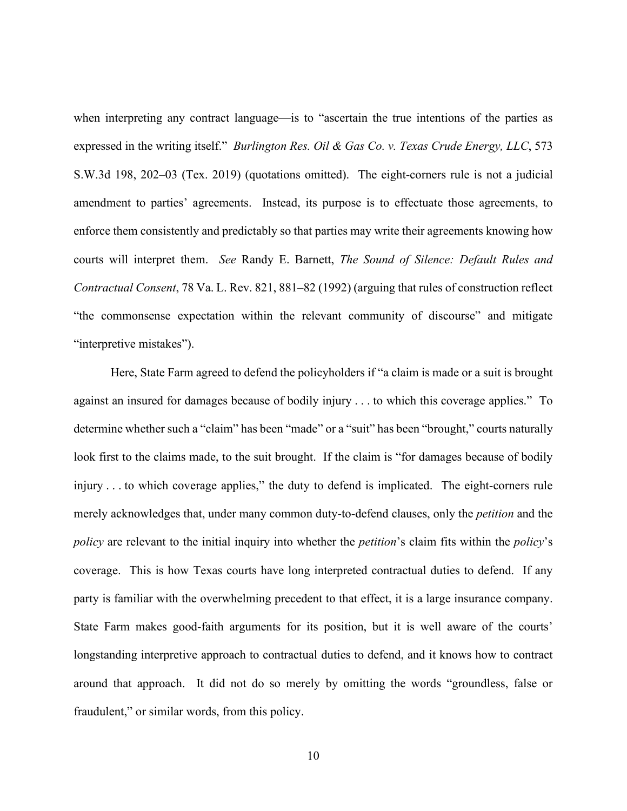when interpreting any contract language—is to "ascertain the true intentions of the parties as expressed in the writing itself." *Burlington Res. Oil & Gas Co. v. Texas Crude Energy, LLC*, 573 S.W.3d 198, 202–03 (Tex. 2019) (quotations omitted). The eight-corners rule is not a judicial amendment to parties' agreements. Instead, its purpose is to effectuate those agreements, to enforce them consistently and predictably so that parties may write their agreements knowing how courts will interpret them. *See* Randy E. Barnett, *The Sound of Silence: Default Rules and Contractual Consent*, 78 Va. L. Rev. 821, 881–82 (1992) (arguing that rules of construction reflect "the commonsense expectation within the relevant community of discourse" and mitigate "interpretive mistakes").

Here, State Farm agreed to defend the policyholders if "a claim is made or a suit is brought against an insured for damages because of bodily injury . . . to which this coverage applies." To determine whether such a "claim" has been "made" or a "suit" has been "brought," courts naturally look first to the claims made, to the suit brought. If the claim is "for damages because of bodily injury . . . to which coverage applies," the duty to defend is implicated. The eight-corners rule merely acknowledges that, under many common duty-to-defend clauses, only the *petition* and the *policy* are relevant to the initial inquiry into whether the *petition*'s claim fits within the *policy*'s coverage. This is how Texas courts have long interpreted contractual duties to defend. If any party is familiar with the overwhelming precedent to that effect, it is a large insurance company. State Farm makes good-faith arguments for its position, but it is well aware of the courts' longstanding interpretive approach to contractual duties to defend, and it knows how to contract around that approach. It did not do so merely by omitting the words "groundless, false or fraudulent," or similar words, from this policy.